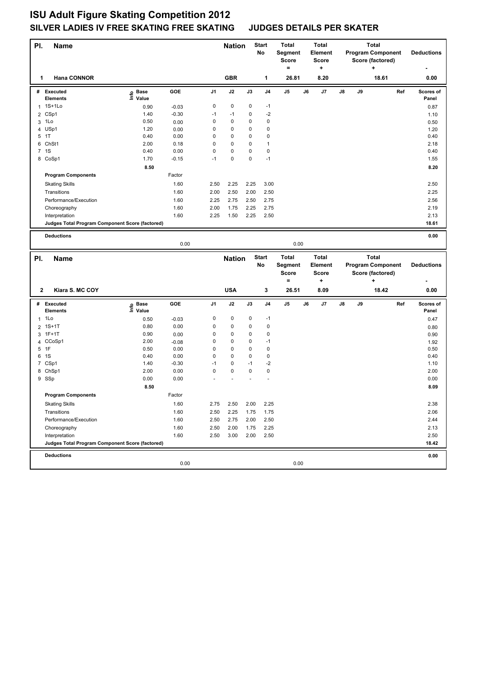# **ISU Adult Figure Skating Competition 2012 SILVER LADIES IV FREE SKATING FREE SKATING JUDGES DETAILS PER SKATER**

| PI.            | <b>Name</b>                                     |                   |                 |             | <b>Nation</b> |             | <b>Start</b><br>No | <b>Total</b><br>Segment<br>Score<br>$=$ |    | <b>Total</b><br>Element<br><b>Score</b><br>$\ddot{}$ |    |    | <b>Total</b><br><b>Program Component</b><br>Score (factored)<br>٠ |     | <b>Deductions</b>  |
|----------------|-------------------------------------------------|-------------------|-----------------|-------------|---------------|-------------|--------------------|-----------------------------------------|----|------------------------------------------------------|----|----|-------------------------------------------------------------------|-----|--------------------|
| 1              | <b>Hana CONNOR</b>                              |                   |                 |             | <b>GBR</b>    |             | 1                  | 26.81                                   |    | 8.20                                                 |    |    | 18.61                                                             |     | 0.00               |
|                | # Executed<br><b>Elements</b>                   | e Base<br>⊑ Value | GOE             | J1          | J2            | J3          | J4                 | $\mathsf{J}5$                           | J6 | J7                                                   | J8 | J9 |                                                                   | Ref | Scores of<br>Panel |
|                | 1 1S+1Lo                                        | 0.90              | $-0.03$         | 0           | 0             | 0           | $-1$               |                                         |    |                                                      |    |    |                                                                   |     | 0.87               |
|                | 2 CSp1                                          | 1.40              | $-0.30$         | $-1$        | $-1$          | 0           | $-2$               |                                         |    |                                                      |    |    |                                                                   |     |                    |
|                | 3 1Lo                                           | 0.50              | 0.00            | 0           | 0             | 0           | 0                  |                                         |    |                                                      |    |    |                                                                   |     | 1.10               |
|                | 4 USp1                                          | 1.20              | 0.00            | 0           | 0             | 0           | 0                  |                                         |    |                                                      |    |    |                                                                   |     | 0.50<br>1.20       |
| 5              | 1T                                              | 0.40              | 0.00            | 0           | 0             | 0           | 0                  |                                         |    |                                                      |    |    |                                                                   |     | 0.40               |
|                | 6 ChSt1                                         | 2.00              | 0.18            | 0           | 0             | 0           | 1                  |                                         |    |                                                      |    |    |                                                                   |     | 2.18               |
|                | 7 1S                                            | 0.40              | 0.00            | $\mathsf 0$ | 0             | 0           | 0                  |                                         |    |                                                      |    |    |                                                                   |     | 0.40               |
|                | 8 CoSp1                                         | 1.70              | $-0.15$         | $-1$        | 0             | 0           | $-1$               |                                         |    |                                                      |    |    |                                                                   |     | 1.55               |
|                |                                                 | 8.50              |                 |             |               |             |                    |                                         |    |                                                      |    |    |                                                                   |     | 8.20               |
|                | <b>Program Components</b>                       |                   | Factor          |             |               |             |                    |                                         |    |                                                      |    |    |                                                                   |     |                    |
|                | <b>Skating Skills</b>                           |                   | 1.60            | 2.50        | 2.25          | 2.25        | 3.00               |                                         |    |                                                      |    |    |                                                                   |     | 2.50               |
|                | Transitions                                     |                   | 1.60            | 2.00        | 2.50          | 2.00        | 2.50               |                                         |    |                                                      |    |    |                                                                   |     | 2.25               |
|                | Performance/Execution                           |                   | 1.60            | 2.25        | 2.75          | 2.50        | 2.75               |                                         |    |                                                      |    |    |                                                                   |     | 2.56               |
|                | Choreography                                    |                   | 1.60            | 2.00        | 1.75          | 2.25        | 2.75               |                                         |    |                                                      |    |    |                                                                   |     | 2.19               |
|                | Interpretation                                  |                   | 1.60            | 2.25        | 1.50          | 2.25        | 2.50               |                                         |    |                                                      |    |    |                                                                   |     | 2.13               |
|                | Judges Total Program Component Score (factored) |                   |                 |             |               |             |                    |                                         |    |                                                      |    |    |                                                                   |     | 18.61              |
|                | <b>Deductions</b>                               |                   |                 |             |               |             |                    |                                         |    |                                                      |    |    |                                                                   |     | 0.00               |
|                |                                                 |                   | 0.00            |             |               |             |                    | 0.00                                    |    |                                                      |    |    |                                                                   |     |                    |
| PI.            |                                                 |                   |                 |             |               |             | <b>Start</b>       | <b>Total</b>                            |    | <b>Total</b>                                         |    |    | <b>Total</b>                                                      |     |                    |
|                | Name                                            |                   |                 |             | <b>Nation</b> |             | No                 | Segment                                 |    | Element                                              |    |    | <b>Program Component</b>                                          |     | <b>Deductions</b>  |
|                |                                                 |                   |                 |             |               |             |                    | Score<br>$=$                            |    | <b>Score</b><br>÷                                    |    |    | Score (factored)<br>$\ddot{}$                                     |     |                    |
| 2              | Kiara S. MC COY                                 |                   |                 |             | <b>USA</b>    |             | 3                  | 26.51                                   |    | 8.09                                                 |    |    | 18.42                                                             |     | 0.00               |
|                | # Executed                                      | e Base<br>E Value | GOE             | J1          | J2            | J3          | J4                 | $\mathsf{J}5$                           | J6 | J7                                                   | J8 | J9 |                                                                   | Ref | Scores of          |
|                | <b>Elements</b>                                 |                   |                 |             |               |             |                    |                                         |    |                                                      |    |    |                                                                   |     | Panel              |
| 1              | 1Lo                                             | 0.50              | $-0.03$         | 0           | 0             | 0           | $-1$               |                                         |    |                                                      |    |    |                                                                   |     | 0.47               |
| $\overline{2}$ | $1S+1T$                                         | 0.80              | 0.00            | 0           | 0             | 0           | $\mathbf 0$        |                                         |    |                                                      |    |    |                                                                   |     | 0.80               |
|                | 3 1F+1T                                         | 0.90              | 0.00            | 0           | 0             | 0           | 0                  |                                         |    |                                                      |    |    |                                                                   |     | 0.90               |
| 5              | 4 CCoSp1<br>1F                                  | 2.00<br>0.50      | $-0.08$<br>0.00 | 0<br>0      | 0<br>0        | 0<br>0      | $-1$<br>0          |                                         |    |                                                      |    |    |                                                                   |     | 1.92<br>0.50       |
|                | 6 1S                                            | 0.40              | 0.00            | 0           | 0             | 0           | $\mathbf 0$        |                                         |    |                                                      |    |    |                                                                   |     | 0.40               |
|                | 7 CSp1                                          | 1.40              | $-0.30$         | $-1$        | 0             | $-1$        | $-2$               |                                         |    |                                                      |    |    |                                                                   |     | 1.10               |
|                | 8 ChSp1                                         | 2.00              | 0.00            | $\mathsf 0$ | 0             | $\mathbf 0$ | 0                  |                                         |    |                                                      |    |    |                                                                   |     | 2.00               |
|                | 9 SSp                                           | 0.00              | 0.00            |             |               |             |                    |                                         |    |                                                      |    |    |                                                                   |     | 0.00               |
|                |                                                 | 8.50              |                 |             |               |             |                    |                                         |    |                                                      |    |    |                                                                   |     | 8.09               |
|                | <b>Program Components</b>                       |                   | Factor          |             |               |             |                    |                                         |    |                                                      |    |    |                                                                   |     |                    |
|                | <b>Skating Skills</b>                           |                   | 1.60            | 2.75        | 2.50          | 2.00        | 2.25               |                                         |    |                                                      |    |    |                                                                   |     | 2.38               |
|                | Transitions                                     |                   | 1.60            | 2.50        | 2.25          | 1.75        | 1.75               |                                         |    |                                                      |    |    |                                                                   |     | 2.06               |
|                | Performance/Execution                           |                   | 1.60            | 2.50        | 2.75          | 2.00        | 2.50               |                                         |    |                                                      |    |    |                                                                   |     | 2.44               |
|                | Choreography                                    |                   | 1.60            | 2.50        | 2.00          | 1.75        | 2.25               |                                         |    |                                                      |    |    |                                                                   |     | 2.13               |
|                | Interpretation                                  |                   | 1.60            | 2.50        | 3.00          | 2.00        | 2.50               |                                         |    |                                                      |    |    |                                                                   |     | 2.50               |
|                | Judges Total Program Component Score (factored) |                   |                 |             |               |             |                    |                                         |    |                                                      |    |    |                                                                   |     | 18.42              |
|                | <b>Deductions</b>                               |                   |                 |             |               |             |                    |                                         |    |                                                      |    |    |                                                                   |     | 0.00               |
|                |                                                 |                   | 0.00            |             |               |             |                    | 0.00                                    |    |                                                      |    |    |                                                                   |     |                    |
|                |                                                 |                   |                 |             |               |             |                    |                                         |    |                                                      |    |    |                                                                   |     |                    |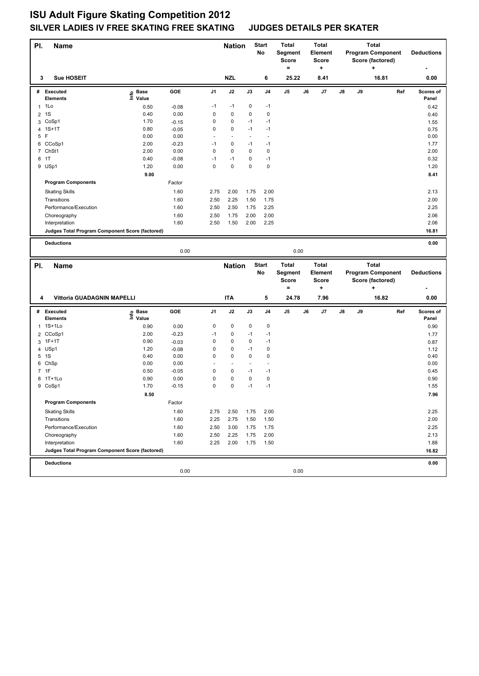# **ISU Adult Figure Skating Competition 2012 SILVER LADIES IV FREE SKATING FREE SKATING JUDGES DETAILS PER SKATER**

| PI.            | Name                                                              |                   |                 |                | <b>Nation</b>                 |           | <b>Start</b><br>No            | <b>Total</b><br>Segment<br><b>Score</b><br>$=$ |    | <b>Total</b><br>Element<br><b>Score</b><br>$\ddot{}$ |    |    | <b>Total</b><br><b>Program Component</b><br>Score (factored)<br>٠ |     | <b>Deductions</b>  |
|----------------|-------------------------------------------------------------------|-------------------|-----------------|----------------|-------------------------------|-----------|-------------------------------|------------------------------------------------|----|------------------------------------------------------|----|----|-------------------------------------------------------------------|-----|--------------------|
| 3              | <b>Sue HOSEIT</b>                                                 |                   |                 |                | <b>NZL</b>                    |           | 6                             | 25.22                                          |    | 8.41                                                 |    |    | 16.81                                                             |     | 0.00               |
|                | # Executed<br>Elements                                            | e Base<br>⊑ Value | GOE             | J <sub>1</sub> | J2                            | J3        | J4                            | J5                                             | J6 | J7                                                   | J8 | J9 |                                                                   | Ref | Scores of<br>Panel |
|                | $1$ 1 Lo                                                          | 0.50              | $-0.08$         | $-1$           | $-1$                          | 0         | $-1$                          |                                                |    |                                                      |    |    |                                                                   |     | 0.42               |
|                | 2 1S                                                              | 0.40              | 0.00            | 0              | 0                             | 0         | $\pmb{0}$                     |                                                |    |                                                      |    |    |                                                                   |     | 0.40               |
|                | 3 CoSp1                                                           | 1.70              | $-0.15$         | 0              | 0                             | $-1$      | $-1$                          |                                                |    |                                                      |    |    |                                                                   |     | 1.55               |
|                | 4 1S+1T                                                           | 0.80              | $-0.05$         | 0              | 0                             | $-1$      | $-1$                          |                                                |    |                                                      |    |    |                                                                   |     | 0.75               |
| 5 F            |                                                                   | 0.00              | 0.00            |                | $\overline{\phantom{a}}$      |           | $\blacksquare$                |                                                |    |                                                      |    |    |                                                                   |     | 0.00               |
|                | 6 CCoSp1                                                          | 2.00              | $-0.23$         | $-1$           | 0                             | $-1$      | $-1$                          |                                                |    |                                                      |    |    |                                                                   |     | 1.77               |
|                | 7 ChSt1                                                           | 2.00              | 0.00            | $\mathbf 0$    | 0                             | 0         | 0                             |                                                |    |                                                      |    |    |                                                                   |     | 2.00               |
|                | 8 1T                                                              | 0.40              | $-0.08$         | $-1$           | $-1$                          | 0         | $-1$                          |                                                |    |                                                      |    |    |                                                                   |     | 0.32               |
|                | 9 USp1                                                            | 1.20              | 0.00            | 0              | 0                             | 0         | $\pmb{0}$                     |                                                |    |                                                      |    |    |                                                                   |     | 1.20               |
|                |                                                                   | 9.00              |                 |                |                               |           |                               |                                                |    |                                                      |    |    |                                                                   |     | 8.41               |
|                | <b>Program Components</b>                                         |                   | Factor          |                |                               |           |                               |                                                |    |                                                      |    |    |                                                                   |     |                    |
|                | <b>Skating Skills</b>                                             |                   | 1.60            | 2.75           | 2.00                          | 1.75      | 2.00                          |                                                |    |                                                      |    |    |                                                                   |     | 2.13               |
|                | Transitions                                                       |                   | 1.60            | 2.50           | 2.25                          | 1.50      | 1.75                          |                                                |    |                                                      |    |    |                                                                   |     | 2.00               |
|                | Performance/Execution                                             |                   | 1.60            | 2.50           | 2.50                          | 1.75      | 2.25                          |                                                |    |                                                      |    |    |                                                                   |     | 2.25               |
|                | Choreography                                                      |                   | 1.60            | 2.50           | 1.75                          | 2.00      | 2.00                          |                                                |    |                                                      |    |    |                                                                   |     | 2.06               |
|                | Interpretation                                                    |                   | 1.60            | 2.50           | 1.50                          | 2.00      | 2.25                          |                                                |    |                                                      |    |    |                                                                   |     | 2.06               |
|                | Judges Total Program Component Score (factored)                   |                   |                 |                |                               |           |                               |                                                |    |                                                      |    |    |                                                                   |     | 16.81              |
|                |                                                                   |                   |                 |                |                               |           |                               |                                                |    |                                                      |    |    |                                                                   |     |                    |
|                | <b>Deductions</b>                                                 |                   |                 |                |                               |           |                               |                                                |    |                                                      |    |    |                                                                   |     | 0.00               |
|                |                                                                   |                   | 0.00            |                |                               |           |                               | 0.00                                           |    |                                                      |    |    |                                                                   |     |                    |
|                |                                                                   |                   |                 |                |                               |           |                               |                                                |    |                                                      |    |    |                                                                   |     |                    |
|                |                                                                   |                   |                 |                |                               |           |                               | <b>Total</b>                                   |    | <b>Total</b>                                         |    |    | <b>Total</b>                                                      |     |                    |
| PI.            | Name                                                              |                   |                 |                | <b>Nation</b>                 |           | <b>Start</b><br>No            | Segment                                        |    | Element                                              |    |    | <b>Program Component</b>                                          |     | <b>Deductions</b>  |
|                |                                                                   |                   |                 |                |                               |           |                               | <b>Score</b>                                   |    | <b>Score</b>                                         |    |    | Score (factored)                                                  |     |                    |
|                |                                                                   |                   |                 |                |                               |           |                               | $=$                                            |    | ٠                                                    |    |    | +                                                                 |     |                    |
| 4              | Vittoria GUADAGNIN MAPELLI                                        |                   |                 |                | <b>ITA</b>                    |           | 5                             | 24.78                                          |    | 7.96                                                 |    |    | 16.82                                                             |     | 0.00               |
|                | # Executed                                                        |                   | GOE             | J1             | J2                            | J3        | J <sub>4</sub>                | J5                                             | J6 | J7                                                   | J8 | J9 |                                                                   | Ref | Scores of          |
|                | <b>Elements</b>                                                   | e Base<br>⊑ Value |                 |                |                               |           |                               |                                                |    |                                                      |    |    |                                                                   |     | Panel              |
|                | 1 1S+1Lo                                                          | 0.90              | 0.00            | 0              | 0                             | 0         | $\pmb{0}$                     |                                                |    |                                                      |    |    |                                                                   |     | 0.90               |
| $\overline{2}$ | CCoSp1                                                            | 2.00              | $-0.23$         | $-1$           | 0                             | $-1$      | $-1$                          |                                                |    |                                                      |    |    |                                                                   |     | 1.77               |
|                | 3 1F+1T                                                           | 0.90              | $-0.03$         | 0              | 0                             | 0         | $-1$                          |                                                |    |                                                      |    |    |                                                                   |     | 0.87               |
|                | 4 USp1                                                            | 1.20              | $-0.08$         | 0              | 0                             | $-1$      | 0                             |                                                |    |                                                      |    |    |                                                                   |     | 1.12               |
|                | 5 1S                                                              | 0.40              | 0.00            | 0              | 0<br>$\overline{\phantom{a}}$ | 0         | 0<br>$\overline{\phantom{a}}$ |                                                |    |                                                      |    |    |                                                                   |     | 0.40               |
|                | 6 ChSp<br>7 1F                                                    | 0.00              | 0.00            | 0              | 0                             | $-1$      | $-1$                          |                                                |    |                                                      |    |    |                                                                   |     | 0.00               |
|                |                                                                   | 0.50              | $-0.05$         |                |                               |           |                               |                                                |    |                                                      |    |    |                                                                   |     | 0.45               |
|                | 8 1T+1Lo                                                          | 0.90<br>1.70      | 0.00<br>$-0.15$ | 0<br>0         | 0<br>0                        | 0<br>$-1$ | 0<br>$-1$                     |                                                |    |                                                      |    |    |                                                                   |     | 0.90<br>1.55       |
|                | 9 CoSp1                                                           |                   |                 |                |                               |           |                               |                                                |    |                                                      |    |    |                                                                   |     |                    |
|                |                                                                   | 8.50              |                 |                |                               |           |                               |                                                |    |                                                      |    |    |                                                                   |     | 7.96               |
|                | <b>Program Components</b>                                         |                   | Factor          |                |                               |           |                               |                                                |    |                                                      |    |    |                                                                   |     |                    |
|                | <b>Skating Skills</b>                                             |                   | 1.60            | 2.75           | 2.50                          | 1.75      | 2.00                          |                                                |    |                                                      |    |    |                                                                   |     | 2.25               |
|                | Transitions                                                       |                   | 1.60            | 2.25           | 2.75                          | 1.50      | 1.50                          |                                                |    |                                                      |    |    |                                                                   |     | 2.00               |
|                | Performance/Execution                                             |                   | 1.60            | 2.50           | 3.00                          | 1.75      | 1.75                          |                                                |    |                                                      |    |    |                                                                   |     | 2.25               |
|                | Choreography                                                      |                   | 1.60            | 2.50           | 2.25                          | 1.75      | 2.00                          |                                                |    |                                                      |    |    |                                                                   |     | 2.13               |
|                | Interpretation<br>Judges Total Program Component Score (factored) |                   | 1.60            | 2.25           | 2.00                          | 1.75      | 1.50                          |                                                |    |                                                      |    |    |                                                                   |     | 1.88               |
|                |                                                                   |                   |                 |                |                               |           |                               |                                                |    |                                                      |    |    |                                                                   |     | 16.82              |
|                | <b>Deductions</b>                                                 |                   | 0.00            |                |                               |           |                               | 0.00                                           |    |                                                      |    |    |                                                                   |     | 0.00               |